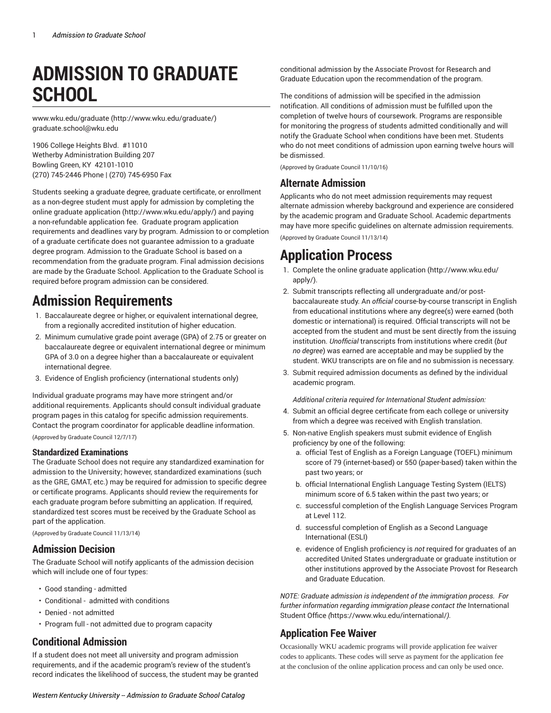# **ADMISSION TO GRADUATE SCHOOL**

[www.wku.edu/graduate](http://www.wku.edu/graduate/) [\(http://www.wku.edu/graduate/](http://www.wku.edu/graduate/)) [graduate.school@wku.edu](mailto:graduate.school@wku.edu)

1906 College Heights Blvd. #11010 Wetherby Administration Building 207 Bowling Green, KY 42101-1010 (270) 745-2446 Phone | (270) 745-6950 Fax

Students seeking a graduate degree, graduate certificate, or enrollment as a non-degree student must apply for admission by completing the online [graduate application](http://www.wku.edu/apply/) ([http://www.wku.edu/apply/\)](http://www.wku.edu/apply/) and paying a non-refundable application fee. Graduate program application requirements and deadlines vary by program. Admission to or completion of a graduate certificate does not guarantee admission to a graduate degree program. Admission to the Graduate School is based on a recommendation from the graduate program. Final admission decisions are made by the Graduate School. Application to the Graduate School is required before program admission can be considered.

# **Admission Requirements**

- 1. Baccalaureate degree or higher, or equivalent international degree, from a regionally accredited institution of higher education.
- 2. Minimum cumulative grade point average (GPA) of 2.75 or greater on baccalaureate degree or equivalent international degree or minimum GPA of 3.0 on a degree higher than a baccalaureate or equivalent international degree.
- 3. Evidence of English proficiency (international students only)

Individual graduate programs may have more stringent and/or additional requirements. Applicants should consult individual graduate program pages in this catalog for specific admission requirements. Contact the program coordinator for applicable deadline information.

(Approved by Graduate Council 12/7/17)

#### **Standardized Examinations**

The Graduate School does not require any standardized examination for admission to the University; however, standardized examinations (such as the GRE, GMAT, etc.) may be required for admission to specific degree or certificate programs. Applicants should review the requirements for each graduate program before submitting an application. If required, standardized test scores must be received by the Graduate School as part of the application.

(Approved by Graduate Council 11/13/14)

#### **Admission Decision**

The Graduate School will notify applicants of the admission decision which will include one of four types:

- Good standing admitted
- Conditional admitted with conditions
- Denied not admitted
- Program full not admitted due to program capacity

# **Conditional Admission**

If a student does not meet all university and program admission requirements, and if the academic program's review of the student's record indicates the likelihood of success, the student may be granted

conditional admission by the Associate Provost for Research and Graduate Education upon the recommendation of the program.

The conditions of admission will be specified in the admission notification. All conditions of admission must be fulfilled upon the completion of twelve hours of coursework. Programs are responsible for monitoring the progress of students admitted conditionally and will notify the Graduate School when conditions have been met. Students who do not meet conditions of admission upon earning twelve hours will be dismissed.

(Approved by Graduate Council 11/10/16)

# **Alternate Admission**

Applicants who do not meet admission requirements may request alternate admission whereby background and experience are considered by the academic program and Graduate School. Academic departments may have more specific guidelines on alternate admission requirements. (Approved by Graduate Council 11/13/14)

# **Application Process**

- 1. Complete the online [graduate application](http://www.wku.edu/apply/) ([http://www.wku.edu/](http://www.wku.edu/apply/) [apply/](http://www.wku.edu/apply/)).
- 2. Submit transcripts reflecting all undergraduate and/or postbaccalaureate study. An *official* course-by-course transcript in English from educational institutions where any degree(s) were earned (both domestic or international) is required. Official transcripts will not be accepted from the student and must be sent directly from the issuing institution. *Unofficial* transcripts from institutions where credit (*but no degree*) was earned are acceptable and may be supplied by the student. WKU transcripts are on file and no submission is necessary.
- 3. Submit required admission documents as defined by the individual academic program.

*Additional criteria required for International Student admission:*

- 4. Submit an official degree certificate from each college or university from which a degree was received with English translation.
- 5. Non-native English speakers must submit evidence of English proficiency by one of the following:
	- a. official Test of English as a Foreign Language (TOEFL) minimum score of 79 (internet-based) or 550 (paper-based) taken within the past two years; or
	- b. official International English Language Testing System (IELTS) minimum score of 6.5 taken within the past two years; or
	- c. successful completion of the English Language Services Program at Level 112.
	- d. successful completion of English as a Second Language International (ESLI)
	- e. evidence of English proficiency is *not* required for graduates of an accredited United States undergraduate or graduate institution or other institutions approved by the Associate Provost for Research and Graduate Education.

*NOTE: Graduate admission is independent of the immigration process. For further information regarding immigration please contact the* [International](https://www.wku.edu/international/) [Student Office](https://www.wku.edu/international/) *(*<https://www.wku.edu/international/>*).* 

# **Application Fee Waiver**

Occasionally WKU academic programs will provide application fee waiver codes to applicants. These codes will serve as payment for the application fee at the conclusion of the online application process and can only be used once.